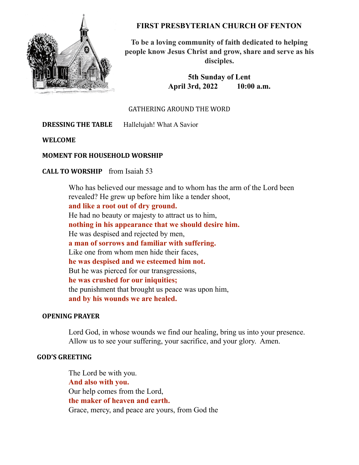

# **FIRST PRESBYTERIAN CHURCH OF FENTON**

**To be a loving community of faith dedicated to helping people know Jesus Christ and grow, share and serve as his disciples.**

> **5th Sunday of Lent April 3rd, 2022 10:00 a.m.**

## GATHERING AROUND THE WORD

**DRESSING THE TABLE** Hallelujah! What A Savior

**WELCOME**

## **MOMENT FOR HOUSEHOLD WORSHIP**

## **CALL TO WORSHIP** from Isaiah 53

Who has believed our message and to whom has the arm of the Lord been revealed? He grew up before him like a tender shoot, **and like a root out of dry ground.** He had no beauty or majesty to attract us to him, **nothing in his appearance that we should desire him.** He was despised and rejected by men, **a man of sorrows and familiar with suffering.** Like one from whom men hide their faces, **he was despised and we esteemed him not.** But he was pierced for our transgressions, **he was crushed for our iniquities;** the punishment that brought us peace was upon him, **and by his wounds we are healed.**

### **OPENING PRAYER**

Lord God, in whose wounds we find our healing, bring us into your presence. Allow us to see your suffering, your sacrifice, and your glory. Amen.

## **GOD'S GREETING**

The Lord be with you. **And also with you.** Our help comes from the Lord, **the maker of heaven and earth.** Grace, mercy, and peace are yours, from God the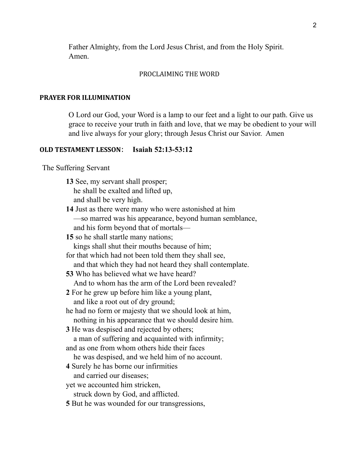Father Almighty, from the Lord Jesus Christ, and from the Holy Spirit. Amen.

### PROCLAIMING THE WORD

### **PRAYER FOR ILLUMINATION**

O Lord our God, your Word is a lamp to our feet and a light to our path. Give us grace to receive your truth in faith and love, that we may be obedient to your will and live always for your glory; through Jesus Christ our Savior. Amen

## **OLD TESTAMENT LESSON**: **Isaiah 52:13-53:12**

The Suffering Servant

| 13 See, my servant shall prosper;                         |
|-----------------------------------------------------------|
| he shall be exalted and lifted up,                        |
| and shall be very high.                                   |
| 14 Just as there were many who were astonished at him     |
| -so marred was his appearance, beyond human semblance,    |
| and his form beyond that of mortals-                      |
| 15 so he shall startle many nations;                      |
| kings shall shut their mouths because of him;             |
| for that which had not been told them they shall see,     |
| and that which they had not heard they shall contemplate. |
| <b>53</b> Who has believed what we have heard?            |
| And to whom has the arm of the Lord been revealed?        |
| 2 For he grew up before him like a young plant,           |
| and like a root out of dry ground;                        |
| he had no form or majesty that we should look at him,     |
| nothing in his appearance that we should desire him.      |
| 3 He was despised and rejected by others;                 |
| a man of suffering and acquainted with infirmity;         |
| and as one from whom others hide their faces              |
| he was despised, and we held him of no account.           |
| 4 Surely he has borne our infirmities                     |
| and carried our diseases;                                 |
| yet we accounted him stricken,                            |
| struck down by God, and afflicted.                        |
| <b>5</b> But he was wounded for our transgressions,       |
|                                                           |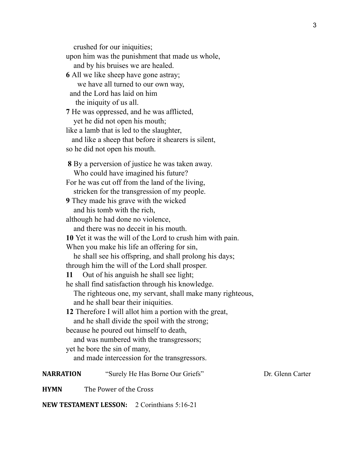crushed for our iniquities;

upon him was the punishment that made us whole, and by his bruises we are healed. **6** All we like sheep have gone astray; we have all turned to our own way, and the Lord has laid on him the iniquity of us all. **7** He was oppressed, and he was afflicted, yet he did not open his mouth; like a lamb that is led to the slaughter, and like a sheep that before it shearers is silent, so he did not open his mouth. **8** By a perversion of justice he was taken away. Who could have imagined his future? For he was cut off from the land of the living, stricken for the transgression of my people. **9** They made his grave with the wicked and his tomb with the rich, although he had done no violence, and there was no deceit in his mouth. **10** Yet it was the will of the Lord to crush him with pain. When you make his life an offering for sin, he shall see his offspring, and shall prolong his days; through him the will of the Lord shall prosper. **11** Out of his anguish he shall see light; he shall find satisfaction through his knowledge. The righteous one, my servant, shall make many righteous, and he shall bear their iniquities. **12** Therefore I will allot him a portion with the great, and he shall divide the spoil with the strong; because he poured out himself to death, and was numbered with the transgressors; yet he bore the sin of many, and made intercession for the transgressors. **NARRATION** "Surely He Has Borne Our Griefs" Dr. Glenn Carter

**HYMN** The Power of the Cross

**NEW TESTAMENT LESSON:** 2 Corinthians 5:16-21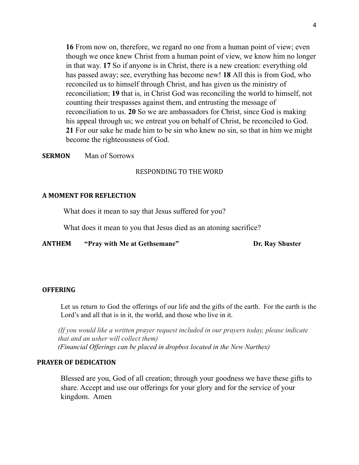**16** From now on, therefore, we regard no one from a human point of view; even though we once knew Christ from a human point of view, we know him no longer in that way. **17** So if anyone is in Christ, there is a new creation: everything old has passed away; see, everything has become new! **18** All this is from God, who reconciled us to himself through Christ, and has given us the ministry of reconciliation; **19** that is, in Christ God was reconciling the world to himself, not counting their trespasses against them, and entrusting the message of reconciliation to us. **20** So we are ambassadors for Christ, since God is making his appeal through us; we entreat you on behalf of Christ, be reconciled to God. **21** For our sake he made him to be sin who knew no sin, so that in him we might become the righteousness of God.

**SERMON** Man of Sorrows

### RESPONDING TO THE WORD

#### **A MOMENT FOR REFLECTION**

What does it mean to say that Jesus suffered for you?

What does it mean to you that Jesus died as an atoning sacrifice?

**ANTHEM "Pray with Me at Gethsemane" Dr. Ray Shuster** 

#### **OFFERING**

Let us return to God the offerings of our life and the gifts of the earth. For the earth is the Lord's and all that is in it, the world, and those who live in it.

*(If you would like a written prayer request included in our prayers today, please indicate that and an usher will collect them) (Financial Offerings can be placed in dropbox located in the New Narthex)*

### **PRAYER OF DEDICATION**

Blessed are you, God of all creation; through your goodness we have these gifts to share. Accept and use our offerings for your glory and for the service of your kingdom. Amen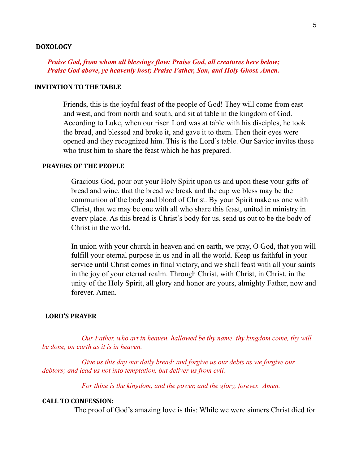#### **DOXOLOGY**

*Praise God, from whom all blessings flow; Praise God, all creatures here below; Praise God above, ye heavenly host; Praise Father, Son, and Holy Ghost. Amen.*

#### **INVITATION TO THE TABLE**

Friends, this is the joyful feast of the people of God! They will come from east and west, and from north and south, and sit at table in the kingdom of God. According to Luke, when our risen Lord was at table with his disciples, he took the bread, and blessed and broke it, and gave it to them. Then their eyes were opened and they recognized him. This is the Lord's table. Our Savior invites those who trust him to share the feast which he has prepared.

### **PRAYERS OF THE PEOPLE**

Gracious God, pour out your Holy Spirit upon us and upon these your gifts of bread and wine, that the bread we break and the cup we bless may be the communion of the body and blood of Christ. By your Spirit make us one with Christ, that we may be one with all who share this feast, united in ministry in every place. As this bread is Christ's body for us, send us out to be the body of Christ in the world.

In union with your church in heaven and on earth, we pray, O God, that you will fulfill your eternal purpose in us and in all the world. Keep us faithful in your service until Christ comes in final victory, and we shall feast with all your saints in the joy of your eternal realm. Through Christ, with Christ, in Christ, in the unity of the Holy Spirit, all glory and honor are yours, almighty Father, now and forever. Amen.

#### **LORD'S PRAYER**

*Our Father, who art in heaven, hallowed be thy name, thy kingdom come, thy will be done, on earth as it is in heaven.*

*Give us this day our daily bread; and forgive us our debts as we forgive our debtors; and lead us not into temptation, but deliver us from evil.*

*For thine is the kingdom, and the power, and the glory, forever. Amen.*

#### **CALL TO CONFESSION:**

The proof of God's amazing love is this: While we were sinners Christ died for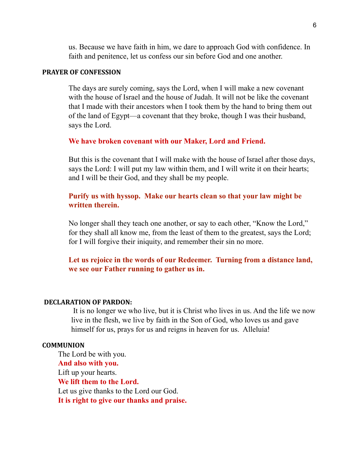us. Because we have faith in him, we dare to approach God with confidence. In faith and penitence, let us confess our sin before God and one another.

### **PRAYER OF CONFESSION**

The days are surely coming, says the Lord, when I will make a new covenant with the house of Israel and the house of Judah. It will not be like the covenant that I made with their ancestors when I took them by the hand to bring them out of the land of Egypt—a covenant that they broke, though I was their husband, says the Lord.

#### **We have broken covenant with our Maker, Lord and Friend.**

But this is the covenant that I will make with the house of Israel after those days, says the Lord: I will put my law within them, and I will write it on their hearts; and I will be their God, and they shall be my people.

## **Purify us with hyssop. Make our hearts clean so that your law might be written therein.**

No longer shall they teach one another, or say to each other, "Know the Lord," for they shall all know me, from the least of them to the greatest, says the Lord; for I will forgive their iniquity, and remember their sin no more.

**Let us rejoice in the words of our Redeemer. Turning from a distance land, we see our Father running to gather us in.**

#### **DECLARATION OF PARDON:**

It is no longer we who live, but it is Christ who lives in us. And the life we now live in the flesh, we live by faith in the Son of God, who loves us and gave himself for us, prays for us and reigns in heaven for us. Alleluia!

#### **COMMUNION**

The Lord be with you. **And also with you.** Lift up your hearts. **We lift them to the Lord.** Let us give thanks to the Lord our God. **It is right to give our thanks and praise.**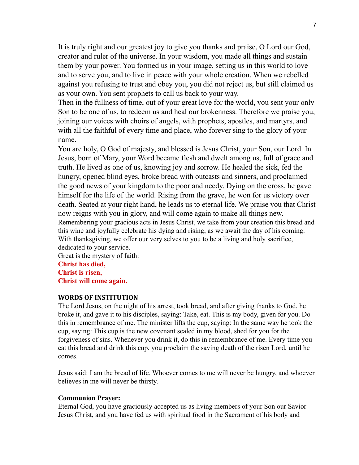It is truly right and our greatest joy to give you thanks and praise, O Lord our God, creator and ruler of the universe. In your wisdom, you made all things and sustain them by your power. You formed us in your image, setting us in this world to love and to serve you, and to live in peace with your whole creation. When we rebelled against you refusing to trust and obey you, you did not reject us, but still claimed us as your own. You sent prophets to call us back to your way.

Then in the fullness of time, out of your great love for the world, you sent your only Son to be one of us, to redeem us and heal our brokenness. Therefore we praise you, joining our voices with choirs of angels, with prophets, apostles, and martyrs, and with all the faithful of every time and place, who forever sing to the glory of your name.

You are holy, O God of majesty, and blessed is Jesus Christ, your Son, our Lord. In Jesus, born of Mary, your Word became flesh and dwelt among us, full of grace and truth. He lived as one of us, knowing joy and sorrow. He healed the sick, fed the hungry, opened blind eyes, broke bread with outcasts and sinners, and proclaimed the good news of your kingdom to the poor and needy. Dying on the cross, he gave himself for the life of the world. Rising from the grave, he won for us victory over death. Seated at your right hand, he leads us to eternal life. We praise you that Christ now reigns with you in glory, and will come again to make all things new. Remembering your gracious acts in Jesus Christ, we take from your creation this bread and this wine and joyfully celebrate his dying and rising, as we await the day of his coming. With thanksgiving, we offer our very selves to you to be a living and holy sacrifice, dedicated to your service. Great is the mystery of faith: **Christ has died,**

**Christ is risen, Christ will come again.**

### **WORDS OF INSTITUTION**

The Lord Jesus, on the night of his arrest, took bread, and after giving thanks to God, he broke it, and gave it to his disciples, saying: Take, eat. This is my body, given for you. Do this in remembrance of me. The minister lifts the cup, saying: In the same way he took the cup, saying: This cup is the new covenant sealed in my blood, shed for you for the forgiveness of sins. Whenever you drink it, do this in remembrance of me. Every time you eat this bread and drink this cup, you proclaim the saving death of the risen Lord, until he comes.

Jesus said: I am the bread of life. Whoever comes to me will never be hungry, and whoever believes in me will never be thirsty.

#### **Communion Prayer:**

Eternal God, you have graciously accepted us as living members of your Son our Savior Jesus Christ, and you have fed us with spiritual food in the Sacrament of his body and